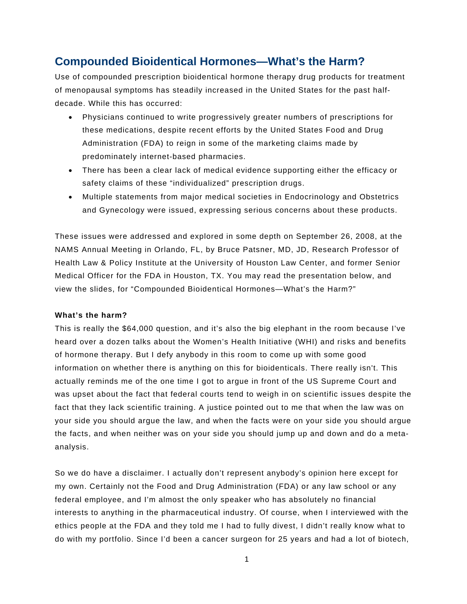# **Compounded Bioidentical Hormones—What's the Harm?**

Use of compounded prescription bioidentical hormone therapy drug products for treatment of menopausal symptoms has steadily increased in the United States for the past halfdecade. While this has occurred:

- Physicians continued to write progressively greater numbers of prescriptions for these medications, despite recent efforts by the United States Food and Drug Administration (FDA) to reign in some of the marketing claims made by predominately internet-based pharmacies.
- There has been a clear lack of medical evidence supporting either the efficacy or safety claims of these "individualized" prescription drugs.
- Multiple statements from major medical societies in Endocrinology and Obstetrics and Gynecology were issued, expressing serious concerns about these products.

These issues were addressed and explored in some depth on September 26, 2008, at the NAMS Annual Meeting in Orlando, FL, by Bruce Patsner, MD, JD, Research Professor of Health Law & Policy Institute at the University of Houston Law Center, and former Senior Medical Officer for the FDA in Houston, TX. You may read the presentation below, and view the slides, for "Compounded Bioidentical Hormones—What's the Harm?"

# **What's the harm?**

This is really the \$64,000 question, and it's also the big elephant in the room because I've heard over a dozen talks about the Women's Health Initiative (WHI) and risks and benefits of hormone therapy. But I defy anybody in this room to come up with some good information on whether there is anything on this for bioidenticals. There really isn't. This actually reminds me of the one time I got to argue in front of the US Supreme Court and was upset about the fact that federal courts tend to weigh in on scientific issues despite the fact that they lack scientific training. A justice pointed out to me that when the law was on your side you should argue the law, and when the facts were on your side you should argue the facts, and when neither was on your side you should jump up and down and do a metaanalysis.

So we do have a disclaimer. I actually don't represent anybody's opinion here except for my own. Certainly not the Food and Drug Administration (FDA) or any law school or any federal employee, and I'm almost the only speaker who has absolutely no financial interests to anything in the pharmaceutical industry. Of course, when I interviewed with the ethics people at the FDA and they told me I had to fully divest, I didn't really know what to do with my portfolio. Since I'd been a cancer surgeon for 25 years and had a lot of biotech,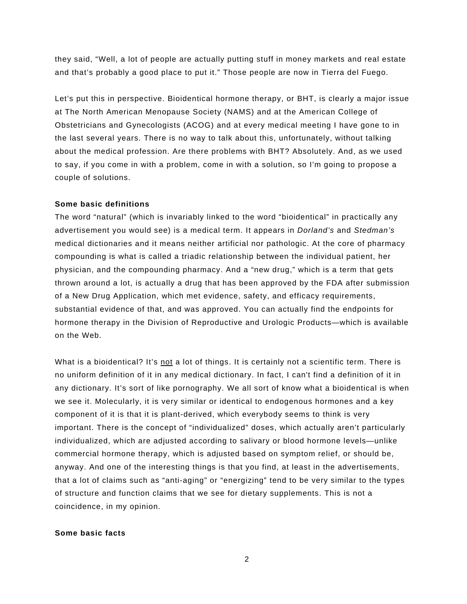they said, "Well, a lot of people are actually putting stuff in money markets and real estate and that's probably a good place to put it." Those people are now in Tierra del Fuego.

Let's put this in perspective. Bioidentical hormone therapy, or BHT, is clearly a major issue at The North American Menopause Society (NAMS) and at the American College of Obstetricians and Gynecologists (ACOG) and at every medical meeting I have gone to in the last several years. There is no way to talk about this, unfortunately, without talking about the medical profession. Are there problems with BHT? Absolutely. And, as we used to say, if you come in with a problem, come in with a solution, so I'm going to propose a couple of solutions.

#### **Some basic definitions**

The word "natural" (which is invariably linked to the word "bioidentical" in practically any advertisement you would see) is a medical term. It appears in *Dorland's* and *Stedman's* medical dictionaries and it means neither artificial nor pathologic. At the core of pharmacy compounding is what is called a triadic relationship between the individual patient, her physician, and the compounding pharmacy. And a "new drug," which is a term that gets thrown around a lot, is actually a drug that has been approved by the FDA after submission of a New Drug Application, which met evidence, safety, and efficacy requirements, substantial evidence of that, and was approved. You can actually find the endpoints for hormone therapy in the Division of Reproductive and Urologic Products—which is available on the Web.

What is a bioidentical? It's not a lot of things. It is certainly not a scientific term. There is no uniform definition of it in any medical dictionary. In fact, I can't find a definition of it in any dictionary. It's sort of like pornography. We all sort of know what a bioidentical is when we see it. Molecularly, it is very similar or identical to endogenous hormones and a key component of it is that it is plant-derived, which everybody seems to think is very important. There is the concept of "individualized" doses, which actually aren't particularly individualized, which are adjusted according to salivary or blood hormone levels—unlike commercial hormone therapy, which is adjusted based on symptom relief, or should be, anyway. And one of the interesting things is that you find, at least in the advertisements, that a lot of claims such as "anti-aging" or "energizing" tend to be very similar to the types of structure and function claims that we see for dietary supplements. This is not a coincidence, in my opinion.

# **Some basic facts**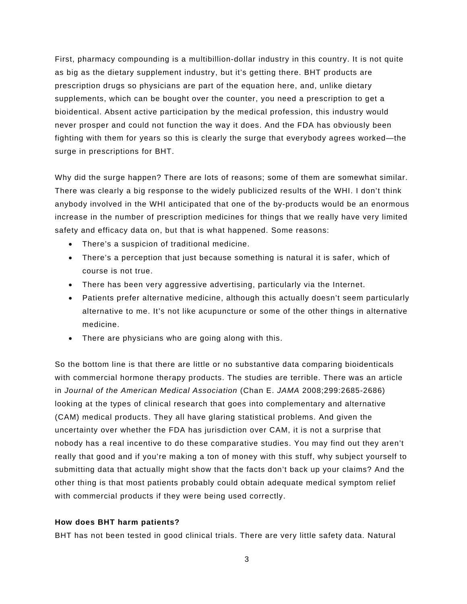First, pharmacy compounding is a multibillion-dollar industry in this country. It is not quite as big as the dietary supplement industry, but it's getting there. BHT products are prescription drugs so physicians are part of the equation here, and, unlike dietary supplements, which can be bought over the counter, you need a prescription to get a bioidentical. Absent active participation by the medical profession, this industry would never prosper and could not function the way it does. And the FDA has obviously been fighting with them for years so this is clearly the surge that everybody agrees worked—the surge in prescriptions for BHT.

Why did the surge happen? There are lots of reasons; some of them are somewhat similar. There was clearly a big response to the widely publicized results of the WHI. I don't think anybody involved in the WHI anticipated that one of the by-products would be an enormous increase in the number of prescription medicines for things that we really have very limited safety and efficacy data on, but that is what happened. Some reasons:

- There's a suspicion of traditional medicine.
- There's a perception that just because something is natural it is safer, which of course is not true.
- There has been very aggressive advertising, particularly via the Internet.
- Patients prefer alternative medicine, although this actually doesn't seem particularly alternative to me. It's not like acupuncture or some of the other things in alternative medicine.
- There are physicians who are going along with this.

So the bottom line is that there are little or no substantive data comparing bioidenticals with commercial hormone therapy products. The studies are terrible. There was an article in *Journal of the American Medical Association* (Chan E. *JAMA* 2008;299:2685-2686) looking at the types of clinical research that goes into complementary and alternative (CAM) medical products. They all have glaring statistical problems. And given the uncertainty over whether the FDA has jurisdiction over CAM, it is not a surprise that nobody has a real incentive to do these comparative studies. You may find out they aren't really that good and if you're making a ton of money with this stuff, why subject yourself to submitting data that actually might show that the facts don't back up your claims? And the other thing is that most patients probably could obtain adequate medical symptom relief with commercial products if they were being used correctly.

# **How does BHT harm patients?**

BHT has not been tested in good clinical trials. There are very little safety data. Natural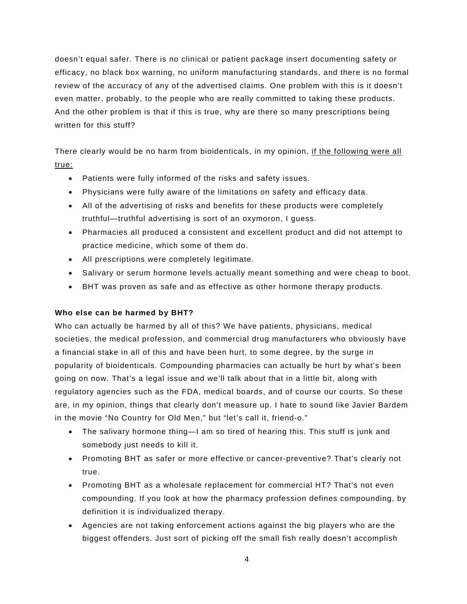doesn't equal safer. There is no clinical or patient package insert documenting safety or efficacy, no black box warning, no uniform manufacturing standards, and there is no formal review of the accuracy of any of the advertised claims. One problem with this is it doesn't even matter, probably, to the people who are really committed to taking these products. And the other problem is that if this is true, why are there so many prescriptions being written for this stuff?

There clearly would be no harm from bioidenticals, in my opinion, if the following were all true:

- Patients were fully informed of the risks and safety issues.
- Physicians were fully aware of the limitations on safety and efficacy data.
- All of the advertising of risks and benefits for these products were completely truthful—truthful advertising is sort of an oxymoron, I guess.
- Pharmacies all produced a consistent and excellent product and did not attempt to practice medicine, which some of them do.
- All prescriptions were completely legitimate.
- Salivary or serum hormone levels actually meant something and were cheap to boot.
- BHT was proven as safe and as effective as other hormone therapy products.

# **Who else can be harmed by BHT?**

Who can actually be harmed by all of this? We have patients, physicians, medical societies, the medical profession, and commercial drug manufacturers who obviously have a financial stake in all of this and have been hurt, to some degree, by the surge in popularity of bioidenticals. Compounding pharmacies can actually be hurt by what's been going on now. That's a legal issue and we'll talk about that in a little bit, along with regulatory agencies such as the FDA, medical boards, and of course our courts. So these are, in my opinion, things that clearly don't measure up. I hate to sound like Javier Bardem in the movie "No Country for Old Men," but "let's call it, friend-o."

- The salivary hormone thing—I am so tired of hearing this. This stuff is junk and somebody just needs to kill it.
- Promoting BHT as safer or more effective or cancer-preventive? That's clearly not true.
- Promoting BHT as a wholesale replacement for commercial HT? That's not even compounding. If you look at how the pharmacy profession defines compounding, by definition it is individualized therapy.
- Agencies are not taking enforcement actions against the big players who are the biggest offenders. Just sort of picking off the small fish really doesn't accomplish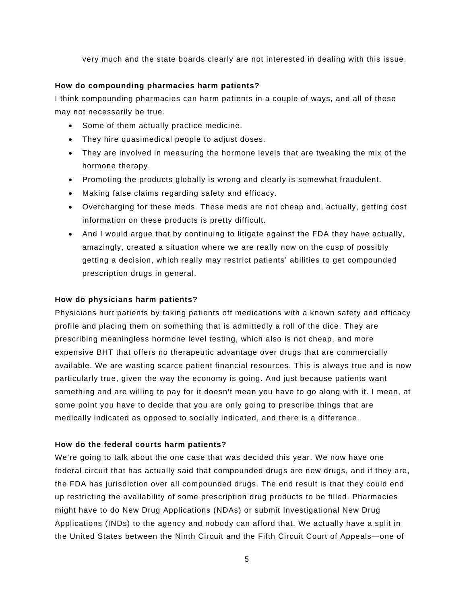very much and the state boards clearly are not interested in dealing with this issue.

## **How do compounding pharmacies harm patients?**

I think compounding pharmacies can harm patients in a couple of ways, and all of these may not necessarily be true.

- Some of them actually practice medicine.
- They hire quasimedical people to adjust doses.
- They are involved in measuring the hormone levels that are tweaking the mix of the hormone therapy.
- Promoting the products globally is wrong and clearly is somewhat fraudulent.
- Making false claims regarding safety and efficacy.
- Overcharging for these meds. These meds are not cheap and, actually, getting cost information on these products is pretty difficult.
- And I would argue that by continuing to litigate against the FDA they have actually, amazingly, created a situation where we are really now on the cusp of possibly getting a decision, which really may restrict patients' abilities to get compounded prescription drugs in general.

## **How do physicians harm patients?**

Physicians hurt patients by taking patients off medications with a known safety and efficacy profile and placing them on something that is admittedly a roll of the dice. They are prescribing meaningless hormone level testing, which also is not cheap, and more expensive BHT that offers no therapeutic advantage over drugs that are commercially available. We are wasting scarce patient financial resources. This is always true and is now particularly true, given the way the economy is going. And just because patients want something and are willing to pay for it doesn't mean you have to go along with it. I mean, at some point you have to decide that you are only going to prescribe things that are medically indicated as opposed to socially indicated, and there is a difference.

# **How do the federal courts harm patients?**

We're going to talk about the one case that was decided this year. We now have one federal circuit that has actually said that compounded drugs are new drugs, and if they are, the FDA has jurisdiction over all compounded drugs. The end result is that they could end up restricting the availability of some prescription drug products to be filled. Pharmacies might have to do New Drug Applications (NDAs) or submit Investigational New Drug Applications (INDs) to the agency and nobody can afford that. We actually have a split in the United States between the Ninth Circuit and the Fifth Circuit Court of Appeals—one of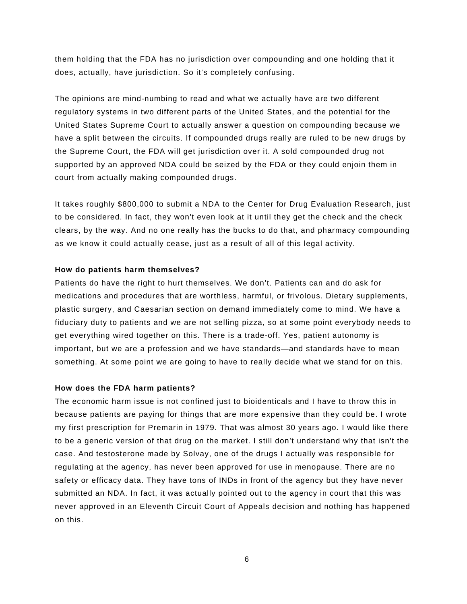them holding that the FDA has no jurisdiction over compounding and one holding that it does, actually, have jurisdiction. So it's completely confusing.

The opinions are mind-numbing to read and what we actually have are two different regulatory systems in two different parts of the United States, and the potential for the United States Supreme Court to actually answer a question on compounding because we have a split between the circuits. If compounded drugs really are ruled to be new drugs by the Supreme Court, the FDA will get jurisdiction over it. A sold compounded drug not supported by an approved NDA could be seized by the FDA or they could enjoin them in court from actually making compounded drugs.

It takes roughly \$800,000 to submit a NDA to the Center for Drug Evaluation Research, just to be considered. In fact, they won't even look at it until they get the check and the check clears, by the way. And no one really has the bucks to do that, and pharmacy compounding as we know it could actually cease, just as a result of all of this legal activity.

### **How do patients harm themselves?**

Patients do have the right to hurt themselves. We don't. Patients can and do ask for medications and procedures that are worthless, harmful, or frivolous. Dietary supplements, plastic surgery, and Caesarian section on demand immediately come to mind. We have a fiduciary duty to patients and we are not selling pizza, so at some point everybody needs to get everything wired together on this. There is a trade-off. Yes, patient autonomy is important, but we are a profession and we have standards—and standards have to mean something. At some point we are going to have to really decide what we stand for on this.

### **How does the FDA harm patients?**

The economic harm issue is not confined just to bioidenticals and I have to throw this in because patients are paying for things that are more expensive than they could be. I wrote my first prescription for Premarin in 1979. That was almost 30 years ago. I would like there to be a generic version of that drug on the market. I still don't understand why that isn't the case. And testosterone made by Solvay, one of the drugs I actually was responsible for regulating at the agency, has never been approved for use in menopause. There are no safety or efficacy data. They have tons of INDs in front of the agency but they have never submitted an NDA. In fact, it was actually pointed out to the agency in court that this was never approved in an Eleventh Circuit Court of Appeals decision and nothing has happened on this.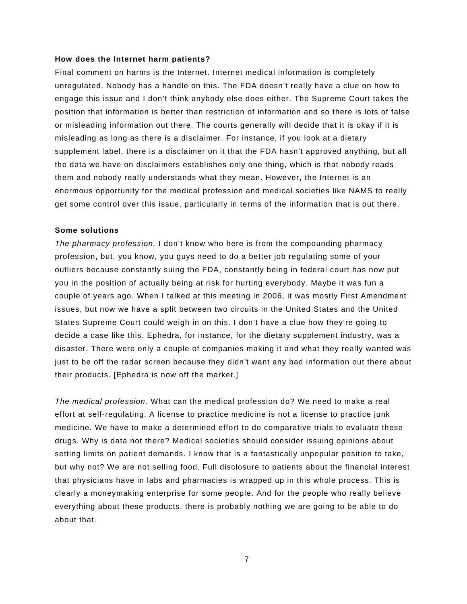#### **How does the Internet harm patients?**

Final comment on harms is the Internet. Internet medical information is completely unregulated. Nobody has a handle on this. The FDA doesn't really have a clue on how to engage this issue and I don't think anybody else does either. The Supreme Court takes the position that information is better than restriction of information and so there is lots of false or misleading information out there. The courts generally will decide that it is okay if it is misleading as long as there is a disclaimer. For instance, if you look at a dietary supplement label, there is a disclaimer on it that the FDA hasn't approved anything, but all the data we have on disclaimers establishes only one thing, which is that nobody reads them and nobody really understands what they mean. However, the Internet is an enormous opportunity for the medical profession and medical societies like NAMS to really get some control over this issue, particularly in terms of the information that is out there.

#### **Some solutions**

*The pharmacy profession.* I don't know who here is from the compounding pharmacy profession, but, you know, you guys need to do a better job regulating some of your outliers because constantly suing the FDA, constantly being in federal court has now put you in the position of actually being at risk for hurting everybody. Maybe it was fun a couple of years ago. When I talked at this meeting in 2006, it was mostly First Amendment issues, but now we have a split between two circuits in the United States and the United States Supreme Court could weigh in on this. I don't have a clue how they're going to decide a case like this. Ephedra, for instance, for the dietary supplement industry, was a disaster. There were only a couple of companies making it and what they really wanted was just to be off the radar screen because they didn't want any bad information out there about their products. [Ephedra is now off the market.]

*The medical profession.* What can the medical profession do? We need to make a real effort at self-regulating. A license to practice medicine is not a license to practice junk medicine. We have to make a determined effort to do comparative trials to evaluate these drugs. Why is data not there? Medical societies should consider issuing opinions about setting limits on patient demands. I know that is a fantastically unpopular position to take, but why not? We are not selling food. Full disclosure to patients about the financial interest that physicians have in labs and pharmacies is wrapped up in this whole process. This is clearly a moneymaking enterprise for some people. And for the people who really believe everything about these products, there is probably nothing we are going to be able to do about that.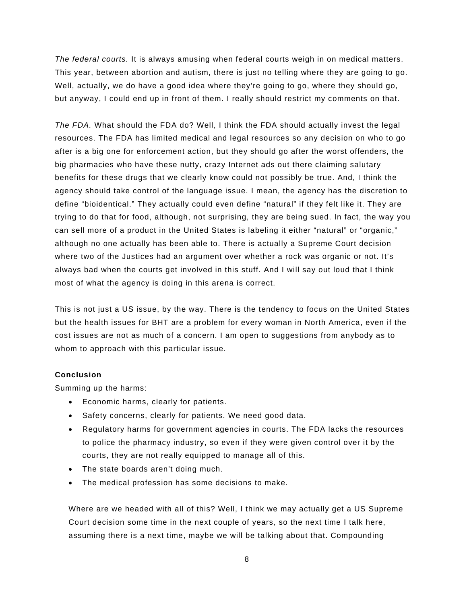*The federal courts.* It is always amusing when federal courts weigh in on medical matters. This year, between abortion and autism, there is just no telling where they are going to go. Well, actually, we do have a good idea where they're going to go, where they should go, but anyway, I could end up in front of them. I really should restrict my comments on that.

*The FDA.* What should the FDA do? Well, I think the FDA should actually invest the legal resources. The FDA has limited medical and legal resources so any decision on who to go after is a big one for enforcement action, but they should go after the worst offenders, the big pharmacies who have these nutty, crazy Internet ads out there claiming salutary benefits for these drugs that we clearly know could not possibly be true. And, I think the agency should take control of the language issue. I mean, the agency has the discretion to define "bioidentical." They actually could even define "natural" if they felt like it. They are trying to do that for food, although, not surprising, they are being sued. In fact, the way you can sell more of a product in the United States is labeling it either "natural" or "organic," although no one actually has been able to. There is actually a Supreme Court decision where two of the Justices had an argument over whether a rock was organic or not. It's always bad when the courts get involved in this stuff. And I will say out loud that I think most of what the agency is doing in this arena is correct.

This is not just a US issue, by the way. There is the tendency to focus on the United States but the health issues for BHT are a problem for every woman in North America, even if the cost issues are not as much of a concern. I am open to suggestions from anybody as to whom to approach with this particular issue.

### **Conclusion**

Summing up the harms:

- Economic harms, clearly for patients.
- Safety concerns, clearly for patients. We need good data.
- Regulatory harms for government agencies in courts. The FDA lacks the resources to police the pharmacy industry, so even if they were given control over it by the courts, they are not really equipped to manage all of this.
- The state boards aren't doing much.
- The medical profession has some decisions to make.

Where are we headed with all of this? Well, I think we may actually get a US Supreme Court decision some time in the next couple of years, so the next time I talk here, assuming there is a next time, maybe we will be talking about that. Compounding